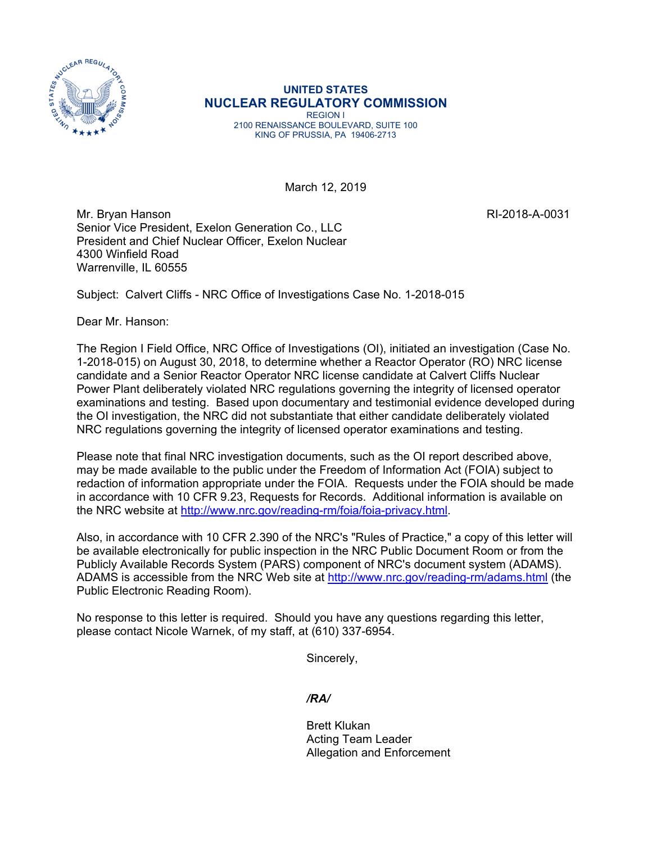

**UNITED STATES NUCLEAR REGULATORY COMMISSION**  REGION I 2100 RENAISSANCE BOULEVARD, SUITE 100 KING OF PRUSSIA, PA 19406-2713

March 12, 2019

Mr. Bryan Hanson RI-2018-A-0031 Senior Vice President, Exelon Generation Co., LLC President and Chief Nuclear Officer, Exelon Nuclear 4300 Winfield Road Warrenville, IL 60555

Subject: Calvert Cliffs - NRC Office of Investigations Case No. 1-2018-015

Dear Mr. Hanson:

The Region I Field Office, NRC Office of Investigations (OI), initiated an investigation (Case No. 1-2018-015) on August 30, 2018, to determine whether a Reactor Operator (RO) NRC license candidate and a Senior Reactor Operator NRC license candidate at Calvert Cliffs Nuclear Power Plant deliberately violated NRC regulations governing the integrity of licensed operator examinations and testing. Based upon documentary and testimonial evidence developed during the OI investigation, the NRC did not substantiate that either candidate deliberately violated NRC regulations governing the integrity of licensed operator examinations and testing.

Please note that final NRC investigation documents, such as the OI report described above, may be made available to the public under the Freedom of Information Act (FOIA) subject to redaction of information appropriate under the FOIA. Requests under the FOIA should be made in accordance with 10 CFR 9.23, Requests for Records. Additional information is available on the NRC website at http://www.nrc.gov/reading-rm/foia/foia-privacy.html.

Also, in accordance with 10 CFR 2.390 of the NRC's "Rules of Practice," a copy of this letter will be available electronically for public inspection in the NRC Public Document Room or from the Publicly Available Records System (PARS) component of NRC's document system (ADAMS). ADAMS is accessible from the NRC Web site at http://www.nrc.gov/reading-rm/adams.html (the Public Electronic Reading Room).

No response to this letter is required. Should you have any questions regarding this letter, please contact Nicole Warnek, of my staff, at (610) 337-6954.

Sincerely,

*/RA/* 

Brett Klukan Acting Team Leader Allegation and Enforcement